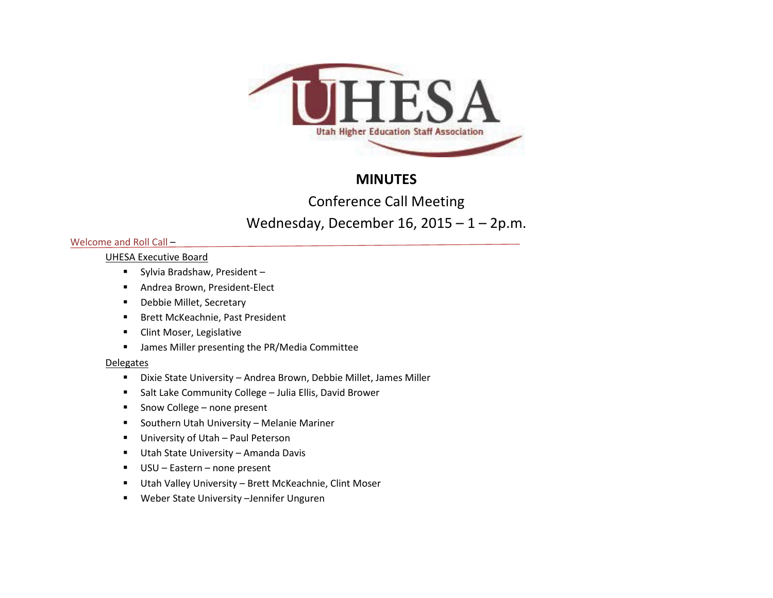

# **MINUTES**

Conference Call Meeting

# Wednesday, December 16,  $2015 - 1 - 2p.m$ .

# Welcome and Roll Call –

# UHESA Executive Board

- Sylvia Bradshaw, President –
- **Andrea Brown, President-Elect**
- **-** Debbie Millet, Secretary
- **Brett McKeachnie, Past President**
- **Clint Moser, Legislative**
- **■** James Miller presenting the PR/Media Committee

# **Delegates**

- Dixie State University Andrea Brown, Debbie Millet, James Miller
- **Salt Lake Community College Julia Ellis, David Brower**
- Snow College none present
- **Southern Utah University Melanie Mariner**
- **University of Utah Paul Peterson**
- Utah State University Amanda Davis
- USU Eastern none present
- Utah Valley University Brett McKeachnie, Clint Moser
- Weber State University –Jennifer Unguren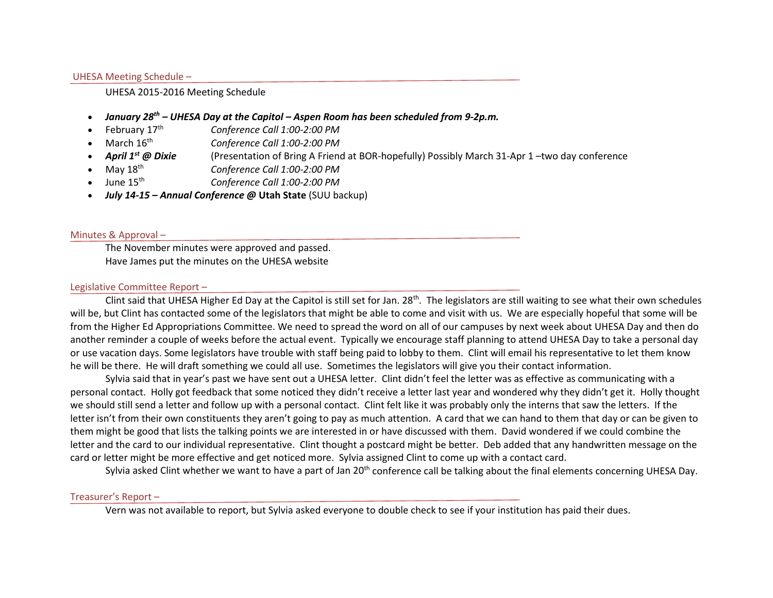## UHESA Meeting Schedule –

#### UHESA 2015-2016 Meeting Schedule

- *January 28th – UHESA Day at the Capitol – Aspen Room has been scheduled from 9-2p.m.*
- February 17th *Conference Call 1:00-2:00 PM*
- March 16th *Conference Call 1:00-2:00 PM*
- *April 1st @ Dixie* (Presentation of Bring A Friend at BOR-hopefully) Possibly March 31-Apr 1 –two day conference
- May 18th *Conference Call 1:00-2:00 PM*
- June 15th *Conference Call 1:00-2:00 PM*
- *July 14-15 – Annual Conference @* **Utah State** (SUU backup)

## Minutes & Approval –

The November minutes were approved and passed. Have James put the minutes on the UHESA website

## Legislative Committee Report –

Clint said that UHESA Higher Ed Day at the Capitol is still set for Jan.  $28<sup>th</sup>$ . The legislators are still waiting to see what their own schedules will be, but Clint has contacted some of the legislators that might be able to come and visit with us. We are especially hopeful that some will be from the Higher Ed Appropriations Committee. We need to spread the word on all of our campuses by next week about UHESA Day and then do another reminder a couple of weeks before the actual event. Typically we encourage staff planning to attend UHESA Day to take a personal day or use vacation days. Some legislators have trouble with staff being paid to lobby to them. Clint will email his representative to let them know he will be there. He will draft something we could all use. Sometimes the legislators will give you their contact information.

Sylvia said that in year's past we have sent out a UHESA letter. Clint didn't feel the letter was as effective as communicating with a personal contact. Holly got feedback that some noticed they didn't receive a letter last year and wondered why they didn't get it. Holly thought we should still send a letter and follow up with a personal contact. Clint felt like it was probably only the interns that saw the letters. If the letter isn't from their own constituents they aren't going to pay as much attention. A card that we can hand to them that day or can be given to them might be good that lists the talking points we are interested in or have discussed with them. David wondered if we could combine the letter and the card to our individual representative. Clint thought a postcard might be better. Deb added that any handwritten message on the card or letter might be more effective and get noticed more. Sylvia assigned Clint to come up with a contact card.

Sylvia asked Clint whether we want to have a part of Jan 20<sup>th</sup> conference call be talking about the final elements concerning UHESA Day.

#### Treasurer's Report –

Vern was not available to report, but Sylvia asked everyone to double check to see if your institution has paid their dues.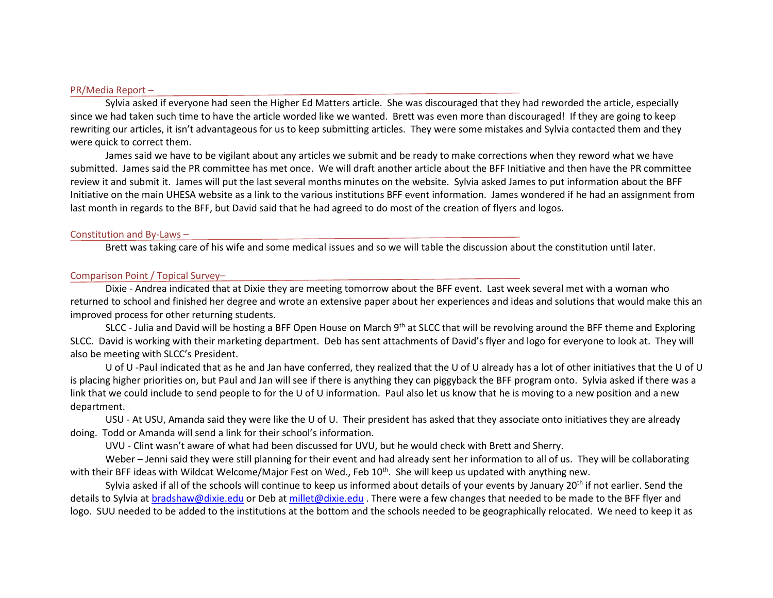#### PR/Media Report –

Sylvia asked if everyone had seen the Higher Ed Matters article. She was discouraged that they had reworded the article, especially since we had taken such time to have the article worded like we wanted. Brett was even more than discouraged! If they are going to keep rewriting our articles, it isn't advantageous for us to keep submitting articles. They were some mistakes and Sylvia contacted them and they were quick to correct them.

James said we have to be vigilant about any articles we submit and be ready to make corrections when they reword what we have submitted. James said the PR committee has met once. We will draft another article about the BFF Initiative and then have the PR committee review it and submit it. James will put the last several months minutes on the website. Sylvia asked James to put information about the BFF Initiative on the main UHESA website as a link to the various institutions BFF event information. James wondered if he had an assignment from last month in regards to the BFF, but David said that he had agreed to do most of the creation of flyers and logos.

#### Constitution and By-Laws –

Brett was taking care of his wife and some medical issues and so we will table the discussion about the constitution until later.

#### Comparison Point / Topical Survey–

Dixie - Andrea indicated that at Dixie they are meeting tomorrow about the BFF event. Last week several met with a woman who returned to school and finished her degree and wrote an extensive paper about her experiences and ideas and solutions that would make this an improved process for other returning students.

SLCC - Julia and David will be hosting a BFF Open House on March 9<sup>th</sup> at SLCC that will be revolving around the BFF theme and Exploring SLCC. David is working with their marketing department. Deb has sent attachments of David's flyer and logo for everyone to look at. They will also be meeting with SLCC's President.

U of U -Paul indicated that as he and Jan have conferred, they realized that the U of U already has a lot of other initiatives that the U of U is placing higher priorities on, but Paul and Jan will see if there is anything they can piggyback the BFF program onto. Sylvia asked if there was a link that we could include to send people to for the U of U information. Paul also let us know that he is moving to a new position and a new department.

USU - At USU, Amanda said they were like the U of U. Their president has asked that they associate onto initiatives they are already doing. Todd or Amanda will send a link for their school's information.

UVU - Clint wasn't aware of what had been discussed for UVU, but he would check with Brett and Sherry.

Weber – Jenni said they were still planning for their event and had already sent her information to all of us. They will be collaborating with their BFF ideas with Wildcat Welcome/Major Fest on Wed., Feb 10<sup>th</sup>. She will keep us updated with anything new.

Sylvia asked if all of the schools will continue to keep us informed about details of your events by January 20<sup>th</sup> if not earlier. Send the details to Sylvia at [bradshaw@dixie.edu](mailto:bradshaw@dixie.edu) or Deb at [millet@dixie.edu](mailto:millet@dixie.edu). There were a few changes that needed to be made to the BFF flyer and logo. SUU needed to be added to the institutions at the bottom and the schools needed to be geographically relocated. We need to keep it as